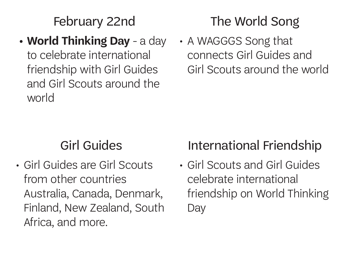February 22nd

#### **• World Thinking Day** - a day to celebrate international friendship with Girl Guides and Girl Scouts around the world

# The World Song

• A WAGGGS Song that connects Girl Guides and Girl Scouts around the world

## Girl Guides

• Girl Guides are Girl Scouts from other countries Australia, Canada, Denmark, Finland, New Zealand, South Africa, and more.

# International Friendship

• Girl Scouts and Girl Guides celebrate international friendship on World Thinking **Day**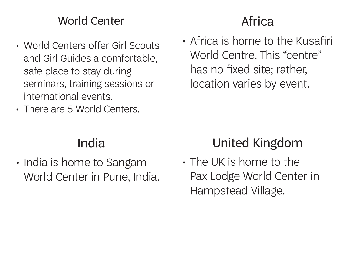#### World Center

- World Centers offer Girl Scouts and Girl Guides a comfortable, safe place to stay during seminars, training sessions or international events.
- There are 5 World Centers.

# Africa

• Africa is home to the Kusafiri World Centre. This "centre" has no fixed site; rather, location varies by event.

#### India

• India is home to Sangam World Center in Pune, India.

# United Kingdom

• The UK is home to the Pax Lodge World Center in Hampstead Village.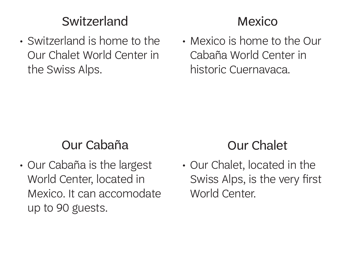### Switzerland

• Switzerland is home to the Our Chalet World Center in the Swiss Alps.

### Mexico

• Mexico is home to the Our Cabaña World Center in historic Cuernavaca.

### Our Cabaña

• Our Cabaña is the largest World Center, located in Mexico. It can accomodate up to 90 guests.

## Our Chalet

• Our Chalet, located in the Swiss Alps, is the very first World Center.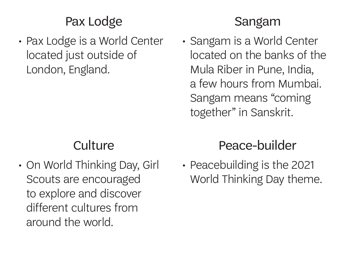## Pax Lodge

• Pax Lodge is a World Center located just outside of London, England.

#### Sangam

• Sangam is a World Center located on the banks of the Mula Riber in Pune, India, a few hours from Mumbai. Sangam means "coming together" in Sanskrit.

## **Culture**

• On World Thinking Day, Girl Scouts are encouraged to explore and discover different cultures from around the world.

# Peace-builder

• Peacebuilding is the 2021 World Thinking Day theme.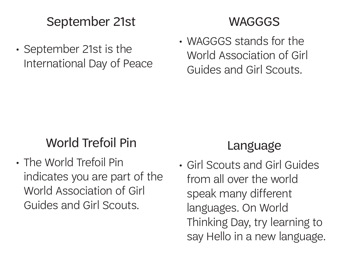#### September 21st

• September 21st is the International Day of Peace

#### WAGGGS

• WAGGGS stands for the World Association of Girl Guides and Girl Scouts.

# World Trefoil Pin

• The World Trefoil Pin indicates you are part of the World Association of Girl Guides and Girl Scouts.

## Language

• Girl Scouts and Girl Guides from all over the world speak many different languages. On World Thinking Day, try learning to say Hello in a new language.